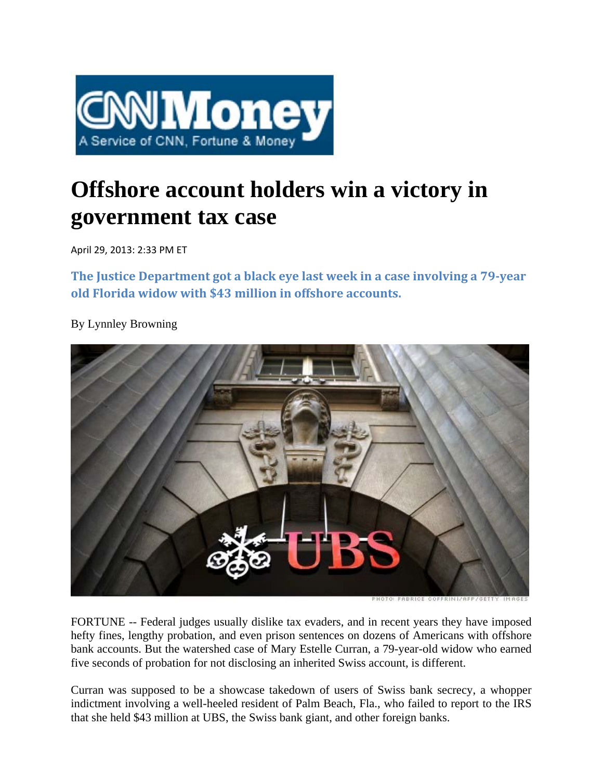

## **Offshore account holders win a victory in government tax case**

April 29, 2013: 2:33 PM ET

**The Justice Department got a black eye last week in a case involving a 79‐year old Florida widow with \$43 million in offshore accounts.**

By Lynnley Browning



FORTUNE -- Federal judges usually dislike tax evaders, and in recent years they have imposed hefty fines, lengthy probation, and even prison sentences on dozens of Americans with offshore bank accounts. But the watershed case of Mary Estelle Curran, a 79-year-old widow who earned five seconds of probation for not disclosing an inherited Swiss account, is different.

Curran was supposed to be a showcase takedown of users of Swiss bank secrecy, a whopper indictment involving a well-heeled resident of Palm Beach, Fla., who failed to report to the IRS that she held \$43 million at UBS, the Swiss bank giant, and other foreign banks.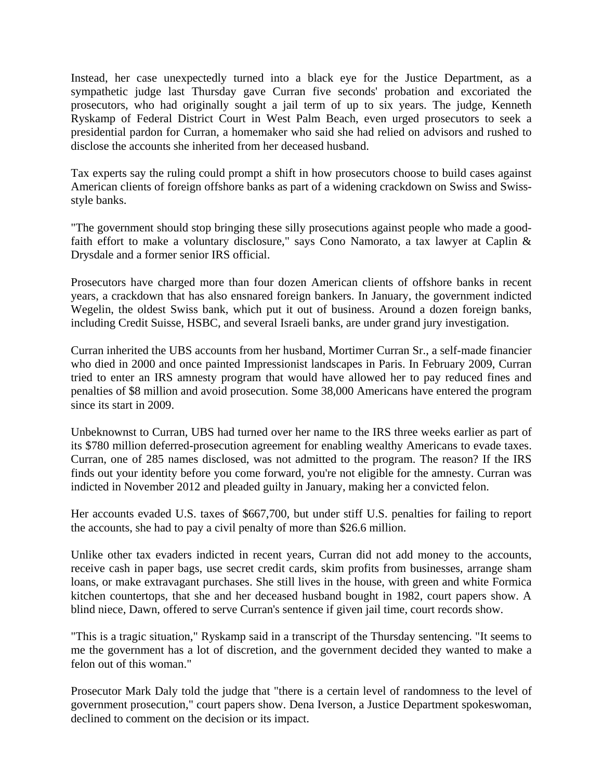Instead, her case unexpectedly turned into a black eye for the Justice Department, as a sympathetic judge last Thursday gave Curran five seconds' probation and excoriated the prosecutors, who had originally sought a jail term of up to six years. The judge, Kenneth Ryskamp of Federal District Court in West Palm Beach, even urged prosecutors to seek a presidential pardon for Curran, a homemaker who said she had relied on advisors and rushed to disclose the accounts she inherited from her deceased husband.

Tax experts say the ruling could prompt a shift in how prosecutors choose to build cases against American clients of foreign offshore banks as part of a widening crackdown on Swiss and Swissstyle banks.

"The government should stop bringing these silly prosecutions against people who made a goodfaith effort to make a voluntary disclosure," says Cono Namorato, a tax lawyer at Caplin & Drysdale and a former senior IRS official.

Prosecutors have charged more than four dozen American clients of offshore banks in recent years, a crackdown that has also ensnared foreign bankers. In January, the government indicted Wegelin, the oldest Swiss bank, which put it out of business. Around a dozen foreign banks, including Credit Suisse, HSBC, and several Israeli banks, are under grand jury investigation.

Curran inherited the UBS accounts from her husband, Mortimer Curran Sr., a self-made financier who died in 2000 and once painted Impressionist landscapes in Paris. In February 2009, Curran tried to enter an IRS amnesty program that would have allowed her to pay reduced fines and penalties of \$8 million and avoid prosecution. Some 38,000 Americans have entered the program since its start in 2009.

Unbeknownst to Curran, UBS had turned over her name to the IRS three weeks earlier as part of its \$780 million deferred-prosecution agreement for enabling wealthy Americans to evade taxes. Curran, one of 285 names disclosed, was not admitted to the program. The reason? If the IRS finds out your identity before you come forward, you're not eligible for the amnesty. Curran was indicted in November 2012 and pleaded guilty in January, making her a convicted felon.

Her accounts evaded U.S. taxes of \$667,700, but under stiff U.S. penalties for failing to report the accounts, she had to pay a civil penalty of more than \$26.6 million.

Unlike other tax evaders indicted in recent years, Curran did not add money to the accounts, receive cash in paper bags, use secret credit cards, skim profits from businesses, arrange sham loans, or make extravagant purchases. She still lives in the house, with green and white Formica kitchen countertops, that she and her deceased husband bought in 1982, court papers show. A blind niece, Dawn, offered to serve Curran's sentence if given jail time, court records show.

"This is a tragic situation," Ryskamp said in a transcript of the Thursday sentencing. "It seems to me the government has a lot of discretion, and the government decided they wanted to make a felon out of this woman."

Prosecutor Mark Daly told the judge that "there is a certain level of randomness to the level of government prosecution," court papers show. Dena Iverson, a Justice Department spokeswoman, declined to comment on the decision or its impact.